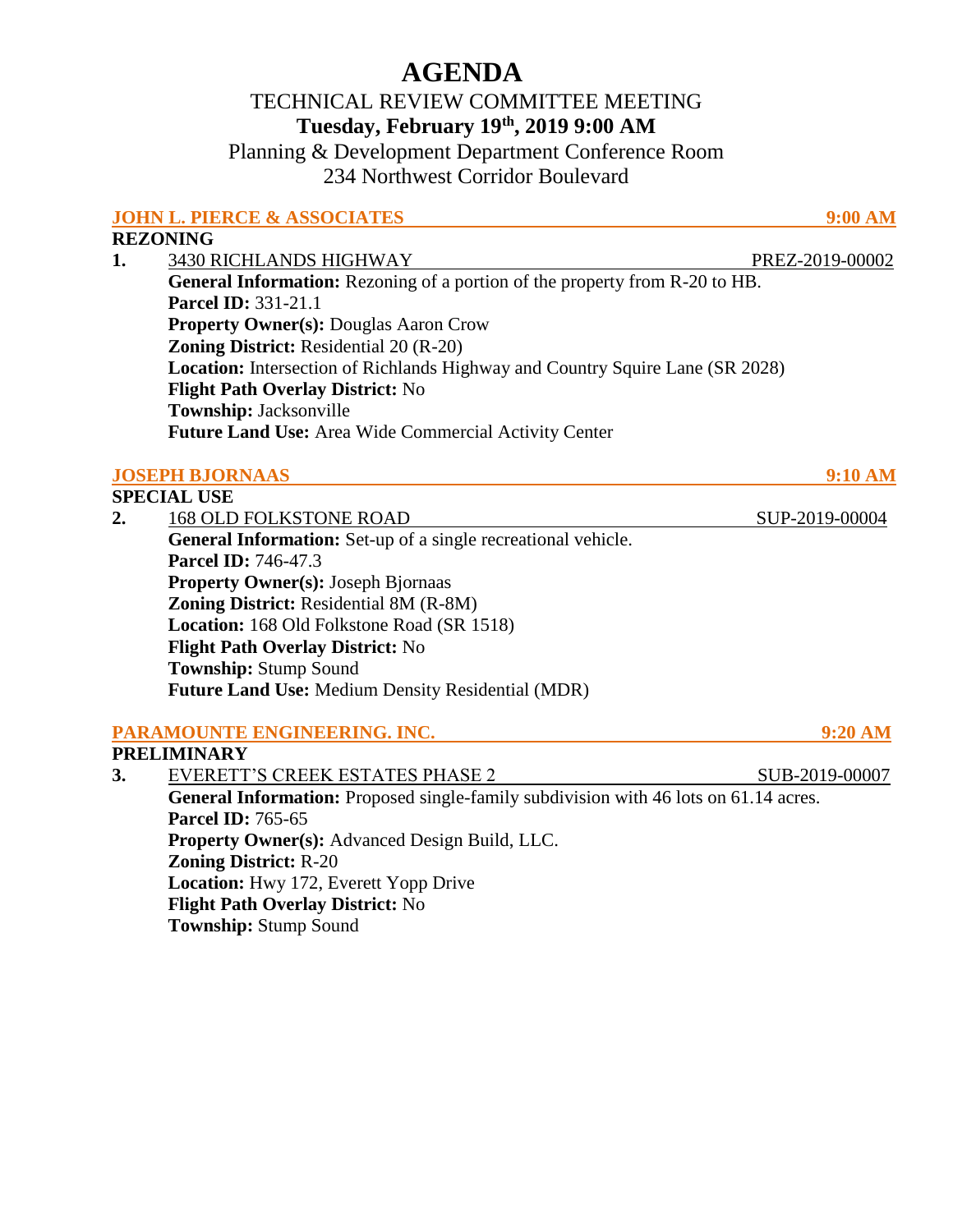# **AGENDA**

## TECHNICAL REVIEW COMMITTEE MEETING **Tuesday, February 19th, 2019 9:00 AM**

Planning & Development Department Conference Room 234 Northwest Corridor Boulevard

|    | <b>JOHN L. PIERCE &amp; ASSOCIATES</b>                                                                                                | 9:00 AM                                               |
|----|---------------------------------------------------------------------------------------------------------------------------------------|-------------------------------------------------------|
|    | <b>REZONING</b>                                                                                                                       |                                                       |
| 1. | <b>3430 RICHLANDS HIGHWAY</b>                                                                                                         | PREZ-2019-00002                                       |
|    | General Information: Rezoning of a portion of the property from R-20 to HB.                                                           |                                                       |
|    | <b>Parcel ID: 331-21.1</b>                                                                                                            |                                                       |
|    | <b>Property Owner(s): Douglas Aaron Crow</b>                                                                                          |                                                       |
|    | <b>Zoning District:</b> Residential 20 (R-20)<br><b>Location:</b> Intersection of Richlands Highway and Country Squire Lane (SR 2028) |                                                       |
|    |                                                                                                                                       |                                                       |
|    | Township: Jacksonville                                                                                                                |                                                       |
|    |                                                                                                                                       | Future Land Use: Area Wide Commercial Activity Center |
|    | <b>JOSEPH BJORNAAS</b>                                                                                                                | 9:10 AM                                               |
|    | <b>SPECIAL USE</b>                                                                                                                    |                                                       |
| 2. | <b>168 OLD FOLKSTONE ROAD</b>                                                                                                         | SUP-2019-00004                                        |
|    | General Information: Set-up of a single recreational vehicle.                                                                         |                                                       |
|    | <b>Parcel ID: 746-47.3</b>                                                                                                            |                                                       |
|    | <b>Property Owner(s): Joseph Bjornaas</b>                                                                                             |                                                       |
|    | <b>Zoning District: Residential 8M (R-8M)</b>                                                                                         |                                                       |
|    | Location: 168 Old Folkstone Road (SR 1518)                                                                                            |                                                       |
|    | Flight Path Overlay District: No                                                                                                      |                                                       |
|    | <b>Township: Stump Sound</b>                                                                                                          |                                                       |
|    | Future Land Use: Medium Density Residential (MDR)                                                                                     |                                                       |
|    | PARAMOUNTE ENGINEERING. INC.                                                                                                          | 9:20 AM                                               |
|    | <b>PRELIMINARY</b>                                                                                                                    |                                                       |
| 3. | EVERETT'S CREEK ESTATES PHASE 2                                                                                                       | SUB-2019-00007                                        |
|    | General Information: Proposed single-family subdivision with 46 lots on 61.14 acres.                                                  |                                                       |
|    | <b>Parcel ID: 765-65</b>                                                                                                              |                                                       |
|    | Property Owner(s): Advanced Design Build, LLC.                                                                                        |                                                       |
|    | <b>Zoning District: R-20</b>                                                                                                          |                                                       |
|    | Location: Hwy 172, Everett Yopp Drive                                                                                                 |                                                       |
|    | Flight Path Overlay District: No                                                                                                      |                                                       |
|    | <b>Township: Stump Sound</b>                                                                                                          |                                                       |